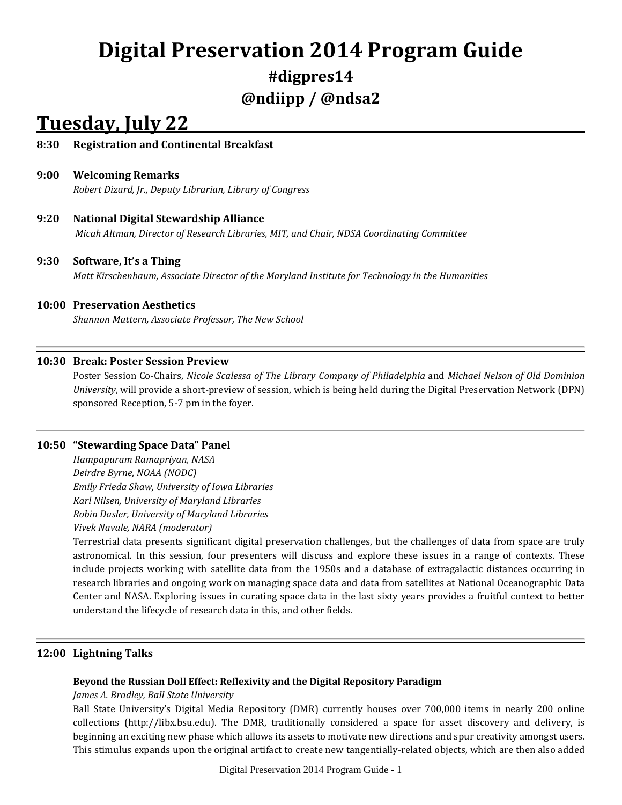# **Digital Preservation 2014 Program Guide**

## **#digpres14 @ndiipp / @ndsa2**

## **Tuesday, July 22**

## **8:30 Registration and Continental Breakfast**

## **9:00 Welcoming Remarks**

*Robert Dizard, Jr., Deputy Librarian, Library of Congress*

## **9:20 National Digital Stewardship Alliance**

*Micah Altman, Director of Research Libraries, MIT, and Chair, NDSA Coordinating Committee*

#### **9:30 Software, It's a Thing**

*Matt Kirschenbaum, Associate Director of the Maryland Institute for Technology in the Humanities*

## **10:00 Preservation Aesthetics**

*Shannon Mattern, Associate Professor, The New School*

#### **10:30 Break: Poster Session Preview**

Poster Session Co-Chairs, *Nicole Scalessa of The Library Company of Philadelphia* and *Michael Nelson of Old Dominion University*, will provide a short-preview of session, which is being held during the Digital Preservation Network (DPN) sponsored Reception, 5-7 pm in the foyer.

#### **10:50 "Stewarding Space Data" Panel**

*Hampapuram Ramapriyan, NASA Deirdre Byrne, NOAA (NODC) Emily Frieda Shaw, University of Iowa Libraries Karl Nilsen, University of Maryland Libraries Robin Dasler, University of Maryland Libraries Vivek Navale, NARA (moderator)*

Terrestrial data presents significant digital preservation challenges, but the challenges of data from space are truly astronomical. In this session, four presenters will discuss and explore these issues in a range of contexts. These include projects working with satellite data from the 1950s and a database of extragalactic distances occurring in research libraries and ongoing work on managing space data and data from satellites at National Oceanographic Data Center and NASA. Exploring issues in curating space data in the last sixty years provides a fruitful context to better understand the lifecycle of research data in this, and other fields.

## **12:00 Lightning Talks**

#### **Beyond the Russian Doll Effect: Reflexivity and the Digital Repository Paradigm**

*James A. Bradley, Ball State University*

Ball State University's Digital Media Repository (DMR) currently houses over 700,000 items in nearly 200 online collections [\(http://libx.bsu.edu\)](http://libx.bsu.edu/). The DMR, traditionally considered a space for asset discovery and delivery, is beginning an exciting new phase which allows its assets to motivate new directions and spur creativity amongst users. This stimulus expands upon the original artifact to create new tangentially-related objects, which are then also added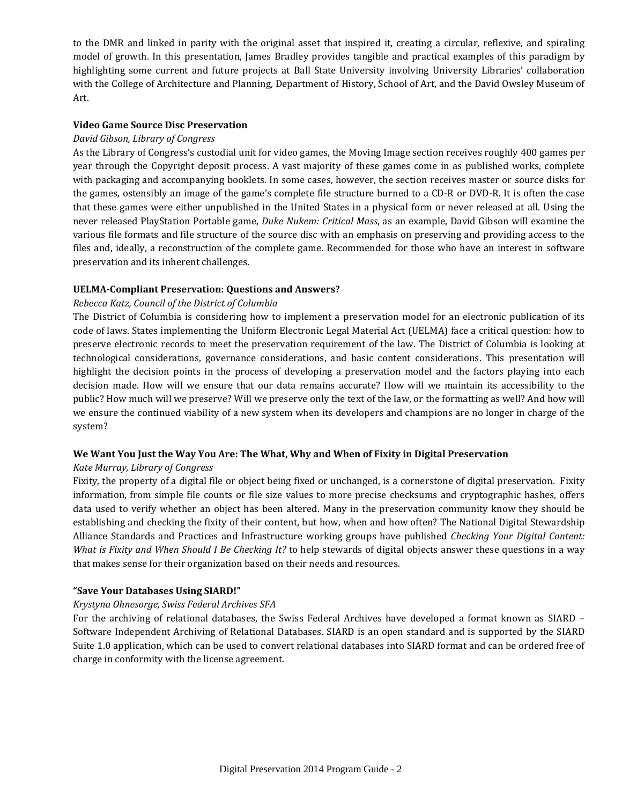to the DMR and linked in parity with the original asset that inspired it, creating a circular, reflexive, and spiraling model of growth. In this presentation, James Bradley provides tangible and practical examples of this paradigm by highlighting some current and future projects at Ball State University involving University Libraries' collaboration with the College of Architecture and Planning, Department of History, School of Art, and the David Owsley Museum of Art.

### **Video Game Source Disc Preservation**

#### *David Gibson, Library of Congress*

As the Library of Congress's custodial unit for video games, the Moving Image section receives roughly 400 games per year through the Copyright deposit process. A vast majority of these games come in as published works, complete with packaging and accompanying booklets. In some cases, however, the section receives master or source disks for the games, ostensibly an image of the game's complete file structure burned to a CD-R or DVD-R. It is often the case that these games were either unpublished in the United States in a physical form or never released at all. Using the never released PlayStation Portable game, *Duke Nukem: Critical Mass*, as an example, David Gibson will examine the various file formats and file structure of the source disc with an emphasis on preserving and providing access to the files and, ideally, a reconstruction of the complete game. Recommended for those who have an interest in software preservation and its inherent challenges.

#### **UELMA-Compliant Preservation: Questions and Answers?**

#### *Rebecca Katz, Council of the District of Columbia*

The District of Columbia is considering how to implement a preservation model for an electronic publication of its code of laws. States implementing the Uniform Electronic Legal Material Act (UELMA) face a critical question: how to preserve electronic records to meet the preservation requirement of the law. The District of Columbia is looking at technological considerations, governance considerations, and basic content considerations. This presentation will highlight the decision points in the process of developing a preservation model and the factors playing into each decision made. How will we ensure that our data remains accurate? How will we maintain its accessibility to the public? How much will we preserve? Will we preserve only the text of the law, or the formatting as well? And how will we ensure the continued viability of a new system when its developers and champions are no longer in charge of the system?

#### **We Want You Just the Way You Are: The What, Why and When of Fixity in Digital Preservation**

## *Kate Murray, Library of Congress*

Fixity, the property of a digital file or object being fixed or unchanged, is a cornerstone of digital preservation. Fixity information, from simple file counts or file size values to more precise checksums and cryptographic hashes, offers data used to verify whether an object has been altered. Many in the preservation community know they should be establishing and checking the fixity of their content, but how, when and how often? The National Digital Stewardship Alliance Standards and Practices and Infrastructure working groups have published *Checking Your Digital Content: What is Fixity and When Should I Be Checking It?* to help stewards of digital objects answer these questions in a way that makes sense for their organization based on their needs and resources.

## **"Save Your Databases Using SIARD!"**

## *Krystyna Ohnesorge, Swiss Federal Archives SFA*

For the archiving of relational databases, the Swiss Federal Archives have developed a format known as SIARD – Software Independent Archiving of Relational Databases. SIARD is an open standard and is supported by the SIARD Suite 1.0 application, which can be used to convert relational databases into SIARD format and can be ordered free of charge in conformity with the license agreement.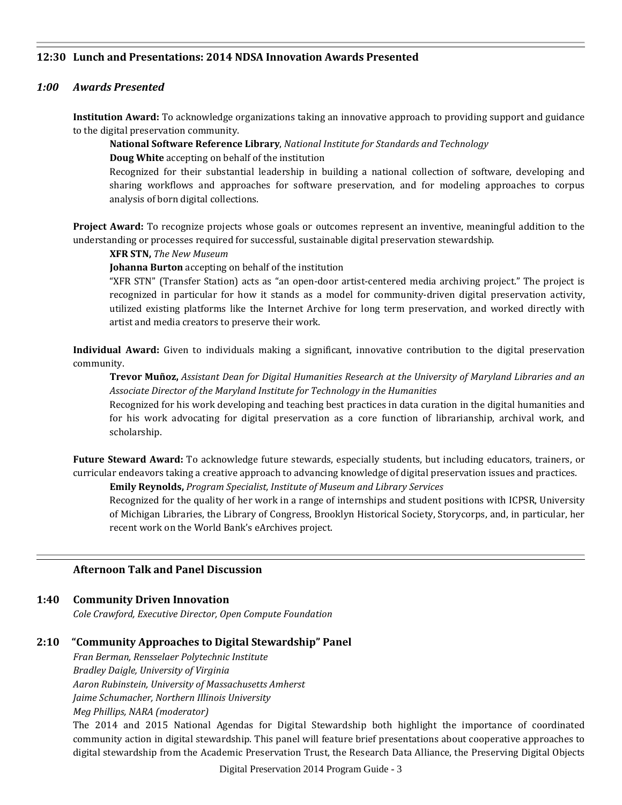#### **12:30 Lunch and Presentations: 2014 NDSA Innovation Awards Presented**

### *1:00 Awards Presented*

**Institution Award:** To acknowledge organizations taking an innovative approach to providing support and guidance to the digital preservation community.

#### **National Software Reference Library**, *National Institute for Standards and Technology*

**Doug White** accepting on behalf of the institution

Recognized for their substantial leadership in building a national collection of software, developing and sharing workflows and approaches for software preservation, and for modeling approaches to corpus analysis of born digital collections.

**Project Award:** To recognize projects whose goals or outcomes represent an inventive, meaningful addition to the understanding or processes required for successful, sustainable digital preservation stewardship.

**XFR STN,** *The New Museum*

**Johanna Burton** accepting on behalf of the institution

"XFR STN" (Transfer Station) acts as "an open-door artist-centered media archiving project." The project is recognized in particular for how it stands as a model for community-driven digital preservation activity, utilized existing platforms like the Internet Archive for long term preservation, and worked directly with artist and media creators to preserve their work.

**Individual Award:** Given to individuals making a significant, innovative contribution to the digital preservation community.

**Trevor Muñoz,** *Assistant Dean for Digital Humanities Research at the University of Maryland Libraries and an Associate Director of the Maryland Institute for Technology in the Humanities*

Recognized for his work developing and teaching best practices in data curation in the digital humanities and for his work advocating for digital preservation as a core function of librarianship, archival work, and scholarship.

**Future Steward Award:** To acknowledge future stewards, especially students, but including educators, trainers, or curricular endeavors taking a creative approach to advancing knowledge of digital preservation issues and practices.

**Emily Reynolds,** *Program Specialist, Institute of Museum and Library Services* 

Recognized for the quality of her work in a range of internships and student positions with ICPSR, University of Michigan Libraries, the Library of Congress, Brooklyn Historical Society, Storycorps, and, in particular, her recent work on the World Bank's eArchives project.

#### **Afternoon Talk and Panel Discussion**

## **1:40 Community Driven Innovation**

*Cole Crawford, Executive Director, Open Compute Foundation*

## **2:10 "Community Approaches to Digital Stewardship" Panel**

*Fran Berman, Rensselaer Polytechnic Institute Bradley Daigle, University of Virginia Aaron Rubinstein, University of Massachusetts Amherst Jaime Schumacher, Northern Illinois University Meg Phillips, NARA (moderator)*

The 2014 and 2015 National Agendas for Digital Stewardship both highlight the importance of coordinated community action in digital stewardship. This panel will feature brief presentations about cooperative approaches to digital stewardship from the Academic Preservation Trust, the Research Data Alliance, the Preserving Digital Objects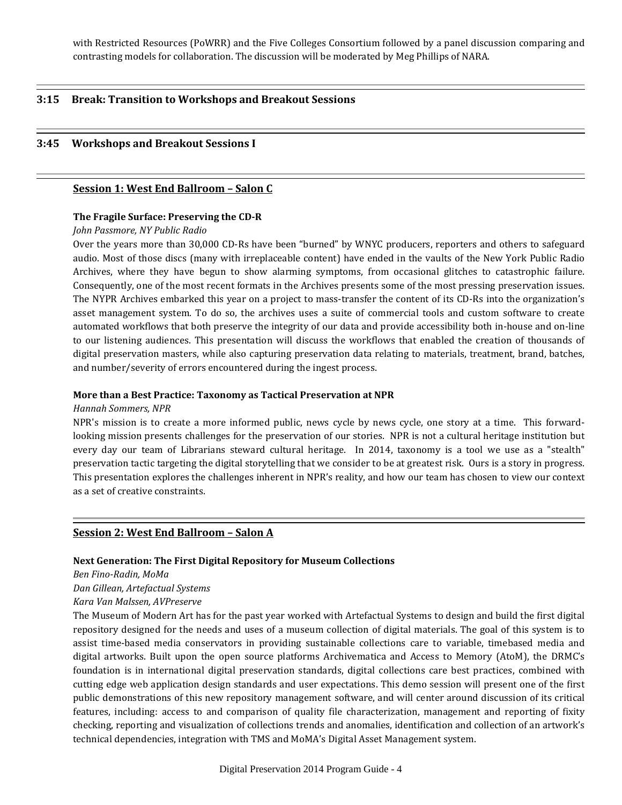with Restricted Resources (PoWRR) and the Five Colleges Consortium followed by a panel discussion comparing and contrasting models for collaboration. The discussion will be moderated by Meg Phillips of NARA.

#### **3:15 Break: Transition to Workshops and Breakout Sessions**

#### **3:45 Workshops and Breakout Sessions I**

#### **Session 1: West End Ballroom – Salon C**

#### **The Fragile Surface: Preserving the CD-R**

#### *John Passmore, NY Public Radio*

Over the years more than 30,000 CD-Rs have been "burned" by WNYC producers, reporters and others to safeguard audio. Most of those discs (many with irreplaceable content) have ended in the vaults of the New York Public Radio Archives, where they have begun to show alarming symptoms, from occasional glitches to catastrophic failure. Consequently, one of the most recent formats in the Archives presents some of the most pressing preservation issues. The NYPR Archives embarked this year on a project to mass-transfer the content of its CD-Rs into the organization's asset management system. To do so, the archives uses a suite of commercial tools and custom software to create automated workflows that both preserve the integrity of our data and provide accessibility both in-house and on-line to our listening audiences. This presentation will discuss the workflows that enabled the creation of thousands of digital preservation masters, while also capturing preservation data relating to materials, treatment, brand, batches, and number/severity of errors encountered during the ingest process.

#### **More than a Best Practice: Taxonomy as Tactical Preservation at NPR**

#### *Hannah Sommers, NPR*

NPR's mission is to create a more informed public, news cycle by news cycle, one story at a time. This forwardlooking mission presents challenges for the preservation of our stories. NPR is not a cultural heritage institution but every day our team of Librarians steward cultural heritage. In 2014, taxonomy is a tool we use as a "stealth" preservation tactic targeting the digital storytelling that we consider to be at greatest risk. Ours is a story in progress. This presentation explores the challenges inherent in NPR's reality, and how our team has chosen to view our context as a set of creative constraints.

#### **Session 2: West End Ballroom – Salon A**

#### **Next Generation: The First Digital Repository for Museum Collections**

*Ben Fino-Radin, MoMa*

*Dan Gillean, Artefactual Systems*

#### *Kara Van Malssen, AVPreserve*

The Museum of Modern Art has for the past year worked with Artefactual Systems to design and build the first digital repository designed for the needs and uses of a museum collection of digital materials. The goal of this system is to assist time-based media conservators in providing sustainable collections care to variable, timebased media and digital artworks. Built upon the open source platforms Archivematica and Access to Memory (AtoM), the DRMC's foundation is in international digital preservation standards, digital collections care best practices, combined with cutting edge web application design standards and user expectations. This demo session will present one of the first public demonstrations of this new repository management software, and will center around discussion of its critical features, including: access to and comparison of quality file characterization, management and reporting of fixity checking, reporting and visualization of collections trends and anomalies, identification and collection of an artwork's technical dependencies, integration with TMS and MoMA's Digital Asset Management system.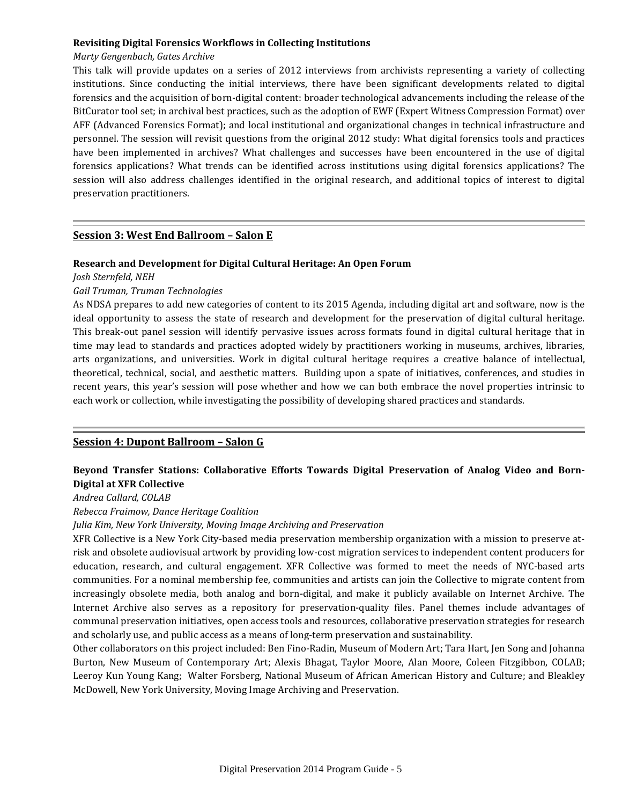#### **Revisiting Digital Forensics Workflows in Collecting Institutions**

## *Marty Gengenbach, Gates Archive*

This talk will provide updates on a series of 2012 interviews from archivists representing a variety of collecting institutions. Since conducting the initial interviews, there have been significant developments related to digital forensics and the acquisition of born-digital content: broader technological advancements including the release of the BitCurator tool set; in archival best practices, such as the adoption of EWF (Expert Witness Compression Format) over AFF (Advanced Forensics Format); and local institutional and organizational changes in technical infrastructure and personnel. The session will revisit questions from the original 2012 study: What digital forensics tools and practices have been implemented in archives? What challenges and successes have been encountered in the use of digital forensics applications? What trends can be identified across institutions using digital forensics applications? The session will also address challenges identified in the original research, and additional topics of interest to digital preservation practitioners.

## **Session 3: West End Ballroom – Salon E**

#### **Research and Development for Digital Cultural Heritage: An Open Forum**

*Josh Sternfeld, NEH*

#### *Gail Truman, Truman Technologies*

As NDSA prepares to add new categories of content to its 2015 Agenda, including digital art and software, now is the ideal opportunity to assess the state of research and development for the preservation of digital cultural heritage. This break-out panel session will identify pervasive issues across formats found in digital cultural heritage that in time may lead to standards and practices adopted widely by practitioners working in museums, archives, libraries, arts organizations, and universities. Work in digital cultural heritage requires a creative balance of intellectual, theoretical, technical, social, and aesthetic matters. Building upon a spate of initiatives, conferences, and studies in recent years, this year's session will pose whether and how we can both embrace the novel properties intrinsic to each work or collection, while investigating the possibility of developing shared practices and standards.

## **Session 4: Dupont Ballroom – Salon G**

## **Beyond Transfer Stations: Collaborative Efforts Towards Digital Preservation of Analog Video and Born-Digital at XFR Collective**

*Andrea Callard, COLAB*

#### *Rebecca Fraimow, Dance Heritage Coalition*

*Julia Kim, New York University, Moving Image Archiving and Preservation*

XFR Collective is a New York City-based media preservation membership organization with a mission to preserve atrisk and obsolete audiovisual artwork by providing low-cost migration services to independent content producers for education, research, and cultural engagement. XFR Collective was formed to meet the needs of NYC-based arts communities. For a nominal membership fee, communities and artists can join the Collective to migrate content from increasingly obsolete media, both analog and born-digital, and make it publicly available on Internet Archive. The Internet Archive also serves as a repository for preservation-quality files. Panel themes include advantages of communal preservation initiatives, open access tools and resources, collaborative preservation strategies for research and scholarly use, and public access as a means of long-term preservation and sustainability.

Other collaborators on this project included: Ben Fino-Radin, Museum of Modern Art; Tara Hart, Jen Song and Johanna Burton, New Museum of Contemporary Art; Alexis Bhagat, Taylor Moore, Alan Moore, Coleen Fitzgibbon, COLAB; Leeroy Kun Young Kang; Walter Forsberg, National Museum of African American History and Culture; and Bleakley McDowell, New York University, Moving Image Archiving and Preservation.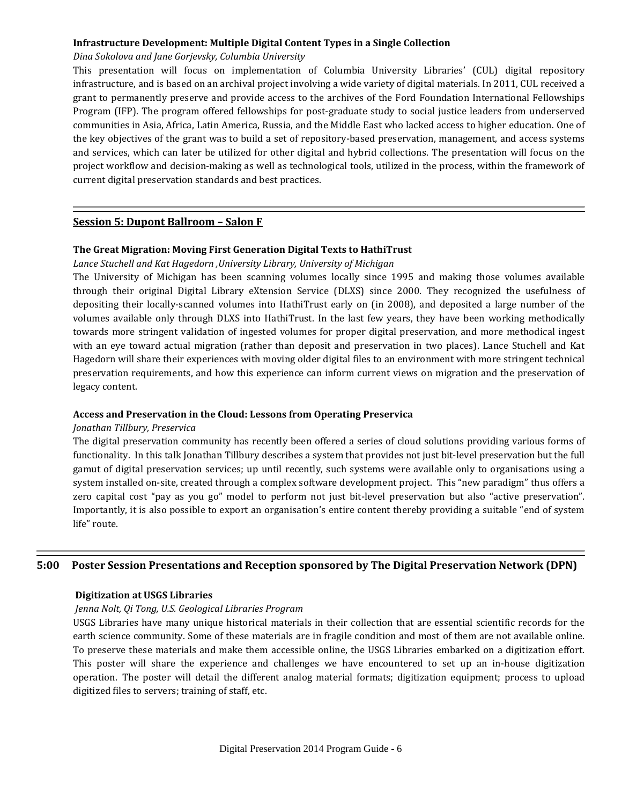#### **Infrastructure Development: Multiple Digital Content Types in a Single Collection**

## *Dina Sokolova and Jane Gorjevsky, Columbia University*

This presentation will focus on implementation of Columbia University Libraries' (CUL) digital repository infrastructure, and is based on an archival project involving a wide variety of digital materials. In 2011, CUL received a grant to permanently preserve and provide access to the archives of the Ford Foundation International Fellowships Program (IFP). The program offered fellowships for post-graduate study to social justice leaders from underserved communities in Asia, Africa, Latin America, Russia, and the Middle East who lacked access to higher education. One of the key objectives of the grant was to build a set of repository-based preservation, management, and access systems and services, which can later be utilized for other digital and hybrid collections. The presentation will focus on the project workflow and decision-making as well as technological tools, utilized in the process, within the framework of current digital preservation standards and best practices.

## **Session 5: Dupont Ballroom – Salon F**

#### **The Great Migration: Moving First Generation Digital Texts to HathiTrust**

#### *Lance Stuchell and Kat Hagedorn ,University Library, University of Michigan*

The University of Michigan has been scanning volumes locally since 1995 and making those volumes available through their original Digital Library eXtension Service (DLXS) since 2000. They recognized the usefulness of depositing their locally-scanned volumes into HathiTrust early on (in 2008), and deposited a large number of the volumes available only through DLXS into HathiTrust. In the last few years, they have been working methodically towards more stringent validation of ingested volumes for proper digital preservation, and more methodical ingest with an eye toward actual migration (rather than deposit and preservation in two places). Lance Stuchell and Kat Hagedorn will share their experiences with moving older digital files to an environment with more stringent technical preservation requirements, and how this experience can inform current views on migration and the preservation of legacy content.

#### **Access and Preservation in the Cloud: Lessons from Operating Preservica**

#### *Jonathan Tillbury, Preservica*

The digital preservation community has recently been offered a series of cloud solutions providing various forms of functionality. In this talk Jonathan Tillbury describes a system that provides not just bit-level preservation but the full gamut of digital preservation services; up until recently, such systems were available only to organisations using a system installed on-site, created through a complex software development project. This "new paradigm" thus offers a zero capital cost "pay as you go" model to perform not just bit-level preservation but also "active preservation". Importantly, it is also possible to export an organisation's entire content thereby providing a suitable "end of system life" route.

## **5:00 Poster Session Presentations and Reception sponsored by The Digital Preservation Network (DPN)**

#### **Digitization at USGS Libraries**

#### *Jenna Nolt, Qi Tong, U.S. Geological Libraries Program*

USGS Libraries have many unique historical materials in their collection that are essential scientific records for the earth science community. Some of these materials are in fragile condition and most of them are not available online. To preserve these materials and make them accessible online, the USGS Libraries embarked on a digitization effort. This poster will share the experience and challenges we have encountered to set up an in-house digitization operation. The poster will detail the different analog material formats; digitization equipment; process to upload digitized files to servers; training of staff, etc.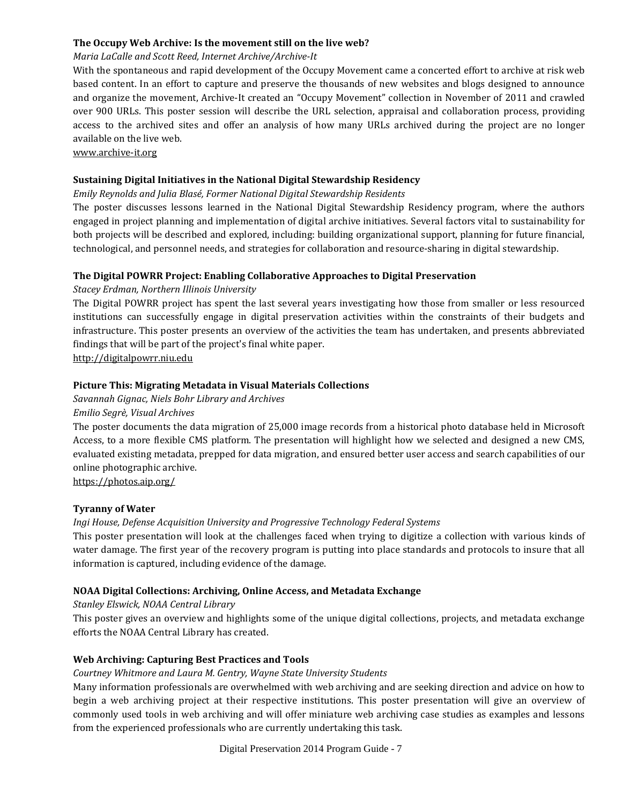## **The Occupy Web Archive: Is the movement still on the live web?**

## *Maria LaCalle and Scott Reed, Internet Archive/Archive-It*

With the spontaneous and rapid development of the Occupy Movement came a concerted effort to archive at risk web based content. In an effort to capture and preserve the thousands of new websites and blogs designed to announce and organize the movement, Archive-It created an "Occupy Movement" collection in November of 2011 and crawled over 900 URLs. This poster session will describe the URL selection, appraisal and collaboration process, providing access to the archived sites and offer an analysis of how many URLs archived during the project are no longer available on the live web.

#### [www.archive-it.org](http://www.archive-it.org/)

## **Sustaining Digital Initiatives in the National Digital Stewardship Residency**

#### *Emily Reynolds and Julia Blasé, Former National Digital Stewardship Residents*

The poster discusses lessons learned in the National Digital Stewardship Residency program, where the authors engaged in project planning and implementation of digital archive initiatives. Several factors vital to sustainability for both projects will be described and explored, including: building organizational support, planning for future financial, technological, and personnel needs, and strategies for collaboration and resource-sharing in digital stewardship.

## **The Digital POWRR Project: Enabling Collaborative Approaches to Digital Preservation**

#### *Stacey Erdman, Northern Illinois University*

The Digital POWRR project has spent the last several years investigating how those from smaller or less resourced institutions can successfully engage in digital preservation activities within the constraints of their budgets and infrastructure. This poster presents an overview of the activities the team has undertaken, and presents abbreviated findings that will be part of the project's final white paper.

[http://digitalpowrr.niu.edu](http://digitalpowrr.niu.edu/)

## **Picture This: Migrating Metadata in Visual Materials Collections**

#### *Savannah Gignac, Niels Bohr Library and Archives*

*Emilio Segrè, Visual Archives*

The poster documents the data migration of 25,000 image records from a historical photo database held in Microsoft Access, to a more flexible CMS platform. The presentation will highlight how we selected and designed a new CMS, evaluated existing metadata, prepped for data migration, and ensured better user access and search capabilities of our online photographic archive.

<https://photos.aip.org/>

## **Tyranny of Water**

## *Ingi House, Defense Acquisition University and Progressive Technology Federal Systems*

This poster presentation will look at the challenges faced when trying to digitize a collection with various kinds of water damage. The first year of the recovery program is putting into place standards and protocols to insure that all information is captured, including evidence of the damage.

#### **NOAA Digital Collections: Archiving, Online Access, and Metadata Exchange**

#### *Stanley Elswick, NOAA Central Library*

This poster gives an overview and highlights some of the unique digital collections, projects, and metadata exchange efforts the NOAA Central Library has created.

## **Web Archiving: Capturing Best Practices and Tools**

#### *Courtney Whitmore and Laura M. Gentry, Wayne State University Students*

Many information professionals are overwhelmed with web archiving and are seeking direction and advice on how to begin a web archiving project at their respective institutions. This poster presentation will give an overview of commonly used tools in web archiving and will offer miniature web archiving case studies as examples and lessons from the experienced professionals who are currently undertaking this task.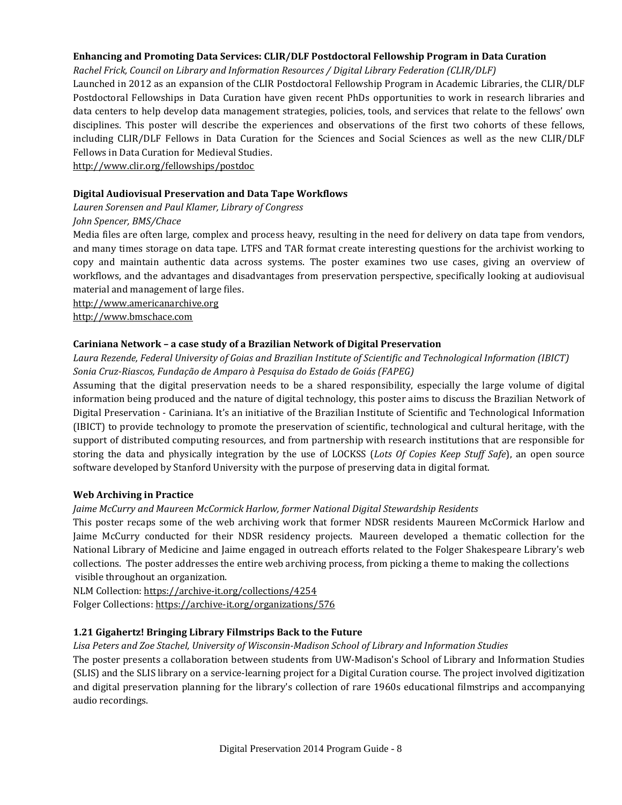## **Enhancing and Promoting Data Services: CLIR/DLF Postdoctoral Fellowship Program in Data Curation**

*Rachel Frick, Council on Library and Information Resources / Digital Library Federation (CLIR/DLF)*

Launched in 2012 as an expansion of the CLIR Postdoctoral Fellowship Program in Academic Libraries, the CLIR/DLF Postdoctoral Fellowships in Data Curation have given recent PhDs opportunities to work in research libraries and data centers to help develop data management strategies, policies, tools, and services that relate to the fellows' own disciplines. This poster will describe the experiences and observations of the first two cohorts of these fellows, including CLIR/DLF Fellows in Data Curation for the Sciences and Social Sciences as well as the new CLIR/DLF Fellows in Data Curation for Medieval Studies.

<http://www.clir.org/fellowships/postdoc>

## **Digital Audiovisual Preservation and Data Tape Workflows**

*Lauren Sorensen and Paul Klamer, Library of Congress*

#### *John Spencer, BMS/Chace*

Media files are often large, complex and process heavy, resulting in the need for delivery on data tape from vendors, and many times storage on data tape. LTFS and TAR format create interesting questions for the archivist working to copy and maintain authentic data across systems. The poster examines two use cases, giving an overview of workflows, and the advantages and disadvantages from preservation perspective, specifically looking at audiovisual material and management of large files.

[http://www.americanarchive.org](http://www.americanarchive.org/)

[http://www.bmschace.com](http://www.bmschace.com/)

## **Cariniana Network – a case study of a Brazilian Network of Digital Preservation**

## *Laura Rezende, Federal University of Goias and Brazilian Institute of Scientific and Technological Information (IBICT) Sonia Cruz-Riascos, Fundação de Amparo à Pesquisa do Estado de Goiás (FAPEG)*

Assuming that the digital preservation needs to be a shared responsibility, especially the large volume of digital information being produced and the nature of digital technology, this poster aims to discuss the Brazilian Network of Digital Preservation - Cariniana. It's an initiative of the Brazilian Institute of Scientific and Technological Information (IBICT) to provide technology to promote the preservation of scientific, technological and cultural heritage, with the support of distributed computing resources, and from partnership with research institutions that are responsible for storing the data and physically integration by the use of LOCKSS (*Lots Of Copies Keep Stuff Safe*), an open source software developed by Stanford University with the purpose of preserving data in digital format.

## **Web Archiving in Practice**

## *Jaime McCurry and Maureen McCormick Harlow, former National Digital Stewardship Residents*

This poster recaps some of the web archiving work that former NDSR residents Maureen McCormick Harlow and Jaime McCurry conducted for their NDSR residency projects. Maureen developed a thematic collection for the National Library of Medicine and Jaime engaged in outreach efforts related to the Folger Shakespeare Library's web collections. The poster addresses the entire web archiving process, from picking a theme to making the collections visible throughout an organization.

NLM Collection: <https://archive-it.org/collections/4254> Folger Collections: <https://archive-it.org/organizations/576>

## **1.21 Gigahertz! Bringing Library Filmstrips Back to the Future**

## *Lisa Peters and Zoe Stachel, University of Wisconsin-Madison School of Library and Information Studies*

The poster presents a collaboration between students from UW-Madison's School of Library and Information Studies (SLIS) and the SLIS library on a service-learning project for a Digital Curation course. The project involved digitization and digital preservation planning for the library's collection of rare 1960s educational filmstrips and accompanying audio recordings.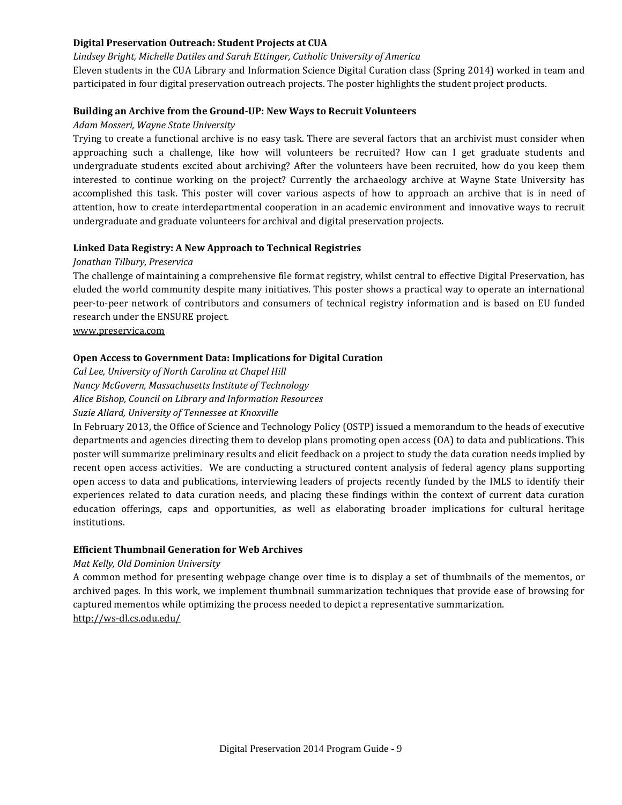## **Digital Preservation Outreach: Student Projects at CUA**

#### *Lindsey Bright, Michelle Datiles and Sarah Ettinger, Catholic University of America*

Eleven students in the CUA Library and Information Science Digital Curation class (Spring 2014) worked in team and participated in four digital preservation outreach projects. The poster highlights the student project products.

#### **Building an Archive from the Ground-UP: New Ways to Recruit Volunteers**

#### *Adam Mosseri, Wayne State University*

Trying to create a functional archive is no easy task. There are several factors that an archivist must consider when approaching such a challenge, like how will volunteers be recruited? How can I get graduate students and undergraduate students excited about archiving? After the volunteers have been recruited, how do you keep them interested to continue working on the project? Currently the archaeology archive at Wayne State University has accomplished this task. This poster will cover various aspects of how to approach an archive that is in need of attention, how to create interdepartmental cooperation in an academic environment and innovative ways to recruit undergraduate and graduate volunteers for archival and digital preservation projects.

#### **Linked Data Registry: A New Approach to Technical Registries**

#### *Jonathan Tilbury, Preservica*

The challenge of maintaining a comprehensive file format registry, whilst central to effective Digital Preservation, has eluded the world community despite many initiatives. This poster shows a practical way to operate an international peer-to-peer network of contributors and consumers of technical registry information and is based on EU funded research under the ENSURE project.

www.preservica.com

#### **Open Access to Government Data: Implications for Digital Curation**

*Cal Lee, University of North Carolina at Chapel Hill Nancy McGovern, Massachusetts Institute of Technology Alice Bishop, Council on Library and Information Resources Suzie Allard, University of Tennessee at Knoxville* 

In February 2013, the Office of Science and Technology Policy (OSTP) issued a memorandum to the heads of executive departments and agencies directing them to develop plans promoting open access (OA) to data and publications. This poster will summarize preliminary results and elicit feedback on a project to study the data curation needs implied by recent open access activities. We are conducting a structured content analysis of federal agency plans supporting open access to data and publications, interviewing leaders of projects recently funded by the IMLS to identify their experiences related to data curation needs, and placing these findings within the context of current data curation education offerings, caps and opportunities, as well as elaborating broader implications for cultural heritage institutions.

## **Efficient Thumbnail Generation for Web Archives**

#### *Mat Kelly, Old Dominion University*

A common method for presenting webpage change over time is to display a set of thumbnails of the mementos, or archived pages. In this work, we implement thumbnail summarization techniques that provide ease of browsing for captured mementos while optimizing the process needed to depict a representative summarization. <http://ws-dl.cs.odu.edu/>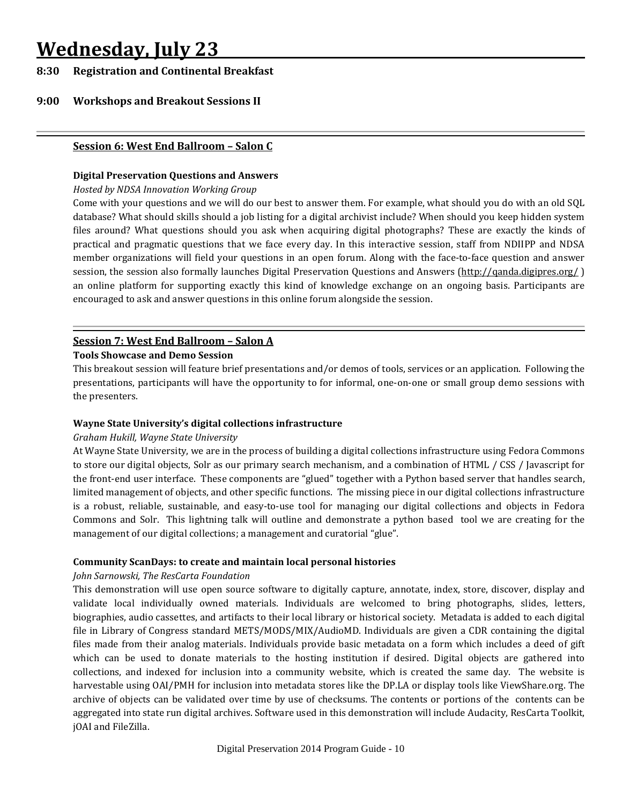## **Wednesday, July 23**

## **8:30 Registration and Continental Breakfast**

## **9:00 Workshops and Breakout Sessions II**

#### **Session 6: West End Ballroom – Salon C**

#### **Digital Preservation Questions and Answers**

#### *Hosted by NDSA Innovation Working Group*

Come with your questions and we will do our best to answer them. For example, what should you do with an old SQL database? What should skills should a job listing for a digital archivist include? When should you keep hidden system files around? What questions should you ask when acquiring digital photographs? These are exactly the kinds of practical and pragmatic questions that we face every day. In this interactive session, staff from NDIIPP and NDSA member organizations will field your questions in an open forum. Along with the face-to-face question and answer session, the session also formally launches Digital Preservation Questions and Answers [\(http://qanda.digipres.org/](http://qanda.digipres.org/)) an online platform for supporting exactly this kind of knowledge exchange on an ongoing basis. Participants are encouraged to ask and answer questions in this online forum alongside the session.

## **Session 7: West End Ballroom – Salon A**

#### **Tools Showcase and Demo Session**

This breakout session will feature brief presentations and/or demos of tools, services or an application. Following the presentations, participants will have the opportunity to for informal, one-on-one or small group demo sessions with the presenters.

#### **Wayne State University's digital collections infrastructure**

#### *Graham Hukill, Wayne State University*

At Wayne State University, we are in the process of building a digital collections infrastructure using Fedora Commons to store our digital objects, Solr as our primary search mechanism, and a combination of HTML / CSS / Javascript for the front-end user interface. These components are "glued" together with a Python based server that handles search, limited management of objects, and other specific functions. The missing piece in our digital collections infrastructure is a robust, reliable, sustainable, and easy-to-use tool for managing our digital collections and objects in Fedora Commons and Solr. This lightning talk will outline and demonstrate a python based tool we are creating for the management of our digital collections; a management and curatorial "glue".

#### **Community ScanDays: to create and maintain local personal histories**

#### *John Sarnowski, The ResCarta Foundation*

This demonstration will use open source software to digitally capture, annotate, index, store, discover, display and validate local individually owned materials. Individuals are welcomed to bring photographs, slides, letters, biographies, audio cassettes, and artifacts to their local library or historical society. Metadata is added to each digital file in Library of Congress standard METS/MODS/MIX/AudioMD. Individuals are given a CDR containing the digital files made from their analog materials. Individuals provide basic metadata on a form which includes a deed of gift which can be used to donate materials to the hosting institution if desired. Digital objects are gathered into collections, and indexed for inclusion into a community website, which is created the same day. The website is harvestable using OAI/PMH for inclusion into metadata stores like the DP.LA or display tools like ViewShare.org. The archive of objects can be validated over time by use of checksums. The contents or portions of the contents can be aggregated into state run digital archives. Software used in this demonstration will include Audacity, ResCarta Toolkit, jOAI and FileZilla.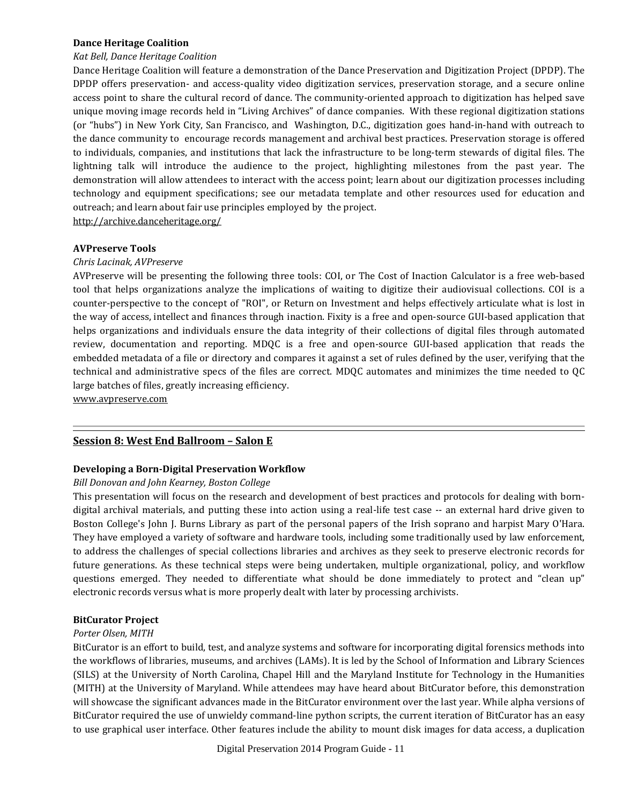#### **Dance Heritage Coalition**

#### *Kat Bell, Dance Heritage Coalition*

Dance Heritage Coalition will feature a demonstration of the Dance Preservation and Digitization Project (DPDP). The DPDP offers preservation- and access-quality video digitization services, preservation storage, and a secure online access point to share the cultural record of dance. The community-oriented approach to digitization has helped save unique moving image records held in "Living Archives" of dance companies. With these regional digitization stations (or "hubs") in New York City, San Francisco, and Washington, D.C., digitization goes hand-in-hand with outreach to the dance community to encourage records management and archival best practices. Preservation storage is offered to individuals, companies, and institutions that lack the infrastructure to be long-term stewards of digital files. The lightning talk will introduce the audience to the project, highlighting milestones from the past year. The demonstration will allow attendees to interact with the access point; learn about our digitization processes including technology and equipment specifications; see our metadata template and other resources used for education and outreach; and learn about fair use principles employed by the project. <http://archive.danceheritage.org/>

**AVPreserve Tools**

#### *Chris Lacinak, AVPreserve*

AVPreserve will be presenting the following three tools: COI, or The Cost of Inaction Calculator is a free web-based tool that helps organizations analyze the implications of waiting to digitize their audiovisual collections. COI is a counter-perspective to the concept of "ROI", or Return on Investment and helps effectively articulate what is lost in the way of access, intellect and finances through inaction. Fixity is a free and open-source GUI-based application that helps organizations and individuals ensure the data integrity of their collections of digital files through automated review, documentation and reporting. MDQC is a free and open-source GUI-based application that reads the embedded metadata of a file or directory and compares it against a set of rules defined by the user, verifying that the technical and administrative specs of the files are correct. MDQC automates and minimizes the time needed to QC large batches of files, greatly increasing efficiency.

[www.avpreserve.com](http://www.avpreserve.com/)

#### **Session 8: West End Ballroom – Salon E**

#### **Developing a Born-Digital Preservation Workflow**

#### *Bill Donovan and John Kearney, Boston College*

This presentation will focus on the research and development of best practices and protocols for dealing with borndigital archival materials, and putting these into action using a real-life test case -- an external hard drive given to Boston College's John J. Burns Library as part of the personal papers of the Irish soprano and harpist Mary O'Hara. They have employed a variety of software and hardware tools, including some traditionally used by law enforcement, to address the challenges of special collections libraries and archives as they seek to preserve electronic records for future generations. As these technical steps were being undertaken, multiple organizational, policy, and workflow questions emerged. They needed to differentiate what should be done immediately to protect and "clean up" electronic records versus what is more properly dealt with later by processing archivists.

#### **BitCurator Project**

#### *Porter Olsen, MITH*

BitCurator is an effort to build, test, and analyze systems and software for incorporating digital forensics methods into the workflows of libraries, museums, and archives (LAMs). It is led by the School of Information and Library Sciences (SILS) at the University of North Carolina, Chapel Hill and the Maryland Institute for Technology in the Humanities (MITH) at the University of Maryland. While attendees may have heard about BitCurator before, this demonstration will showcase the significant advances made in the BitCurator environment over the last year. While alpha versions of BitCurator required the use of unwieldy command-line python scripts, the current iteration of BitCurator has an easy to use graphical user interface. Other features include the ability to mount disk images for data access, a duplication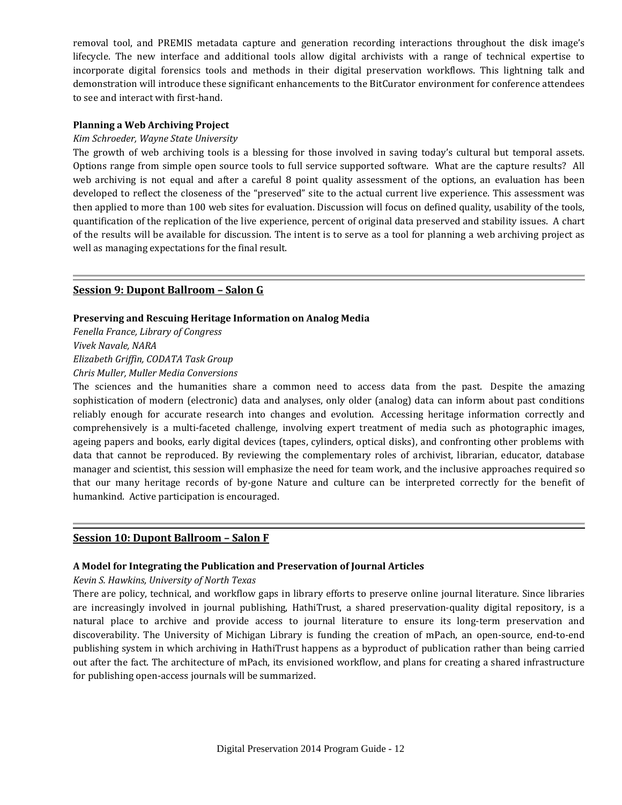removal tool, and PREMIS metadata capture and generation recording interactions throughout the disk image's lifecycle. The new interface and additional tools allow digital archivists with a range of technical expertise to incorporate digital forensics tools and methods in their digital preservation workflows. This lightning talk and demonstration will introduce these significant enhancements to the BitCurator environment for conference attendees to see and interact with first-hand.

#### **Planning a Web Archiving Project**

#### *Kim Schroeder, Wayne State University*

The growth of web archiving tools is a blessing for those involved in saving today's cultural but temporal assets. Options range from simple open source tools to full service supported software. What are the capture results? All web archiving is not equal and after a careful 8 point quality assessment of the options, an evaluation has been developed to reflect the closeness of the "preserved" site to the actual current live experience. This assessment was then applied to more than 100 web sites for evaluation. Discussion will focus on defined quality, usability of the tools, quantification of the replication of the live experience, percent of original data preserved and stability issues. A chart of the results will be available for discussion. The intent is to serve as a tool for planning a web archiving project as well as managing expectations for the final result.

## **Session 9: Dupont Ballroom – Salon G**

#### **Preserving and Rescuing Heritage Information on Analog Media**

*Fenella France, Library of Congress*

*Vivek Navale, NARA*

*Elizabeth Griffin, CODATA Task Group*

*Chris Muller, Muller Media Conversions*

The sciences and the humanities share a common need to access data from the past. Despite the amazing sophistication of modern (electronic) data and analyses, only older (analog) data can inform about past conditions reliably enough for accurate research into changes and evolution. Accessing heritage information correctly and comprehensively is a multi-faceted challenge, involving expert treatment of media such as photographic images, ageing papers and books, early digital devices (tapes, cylinders, optical disks), and confronting other problems with data that cannot be reproduced. By reviewing the complementary roles of archivist, librarian, educator, database manager and scientist, this session will emphasize the need for team work, and the inclusive approaches required so that our many heritage records of by-gone Nature and culture can be interpreted correctly for the benefit of humankind. Active participation is encouraged.

## **Session 10: Dupont Ballroom – Salon F**

#### **A Model for Integrating the Publication and Preservation of Journal Articles**

#### *Kevin S. Hawkins, University of North Texas*

There are policy, technical, and workflow gaps in library efforts to preserve online journal literature. Since libraries are increasingly involved in journal publishing, HathiTrust, a shared preservation-quality digital repository, is a natural place to archive and provide access to journal literature to ensure its long-term preservation and discoverability. The University of Michigan Library is funding the creation of mPach, an open-source, end-to-end publishing system in which archiving in HathiTrust happens as a byproduct of publication rather than being carried out after the fact. The architecture of mPach, its envisioned workflow, and plans for creating a shared infrastructure for publishing open-access journals will be summarized.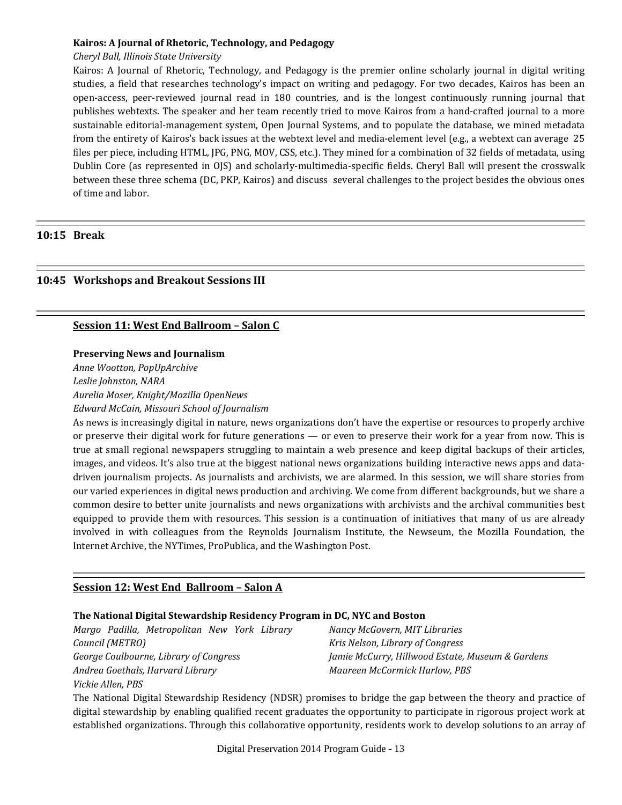#### **Kairos: A Journal of Rhetoric, Technology, and Pedagogy**

#### *Cheryl Ball, Illinois State University*

Kairos: A Journal of Rhetoric, Technology, and Pedagogy is the premier online scholarly journal in digital writing studies, a field that researches technology's impact on writing and pedagogy. For two decades, Kairos has been an open-access, peer-reviewed journal read in 180 countries, and is the longest continuously running journal that publishes webtexts. The speaker and her team recently tried to move Kairos from a hand-crafted journal to a more sustainable editorial-management system, Open Journal Systems, and to populate the database, we mined metadata from the entirety of Kairos's back issues at the webtext level and media-element level (e.g., a webtext can average 25 files per piece, including HTML, JPG, PNG, MOV, CSS, etc.). They mined for a combination of 32 fields of metadata, using Dublin Core (as represented in OJS) and scholarly-multimedia-specific fields. Cheryl Ball will present the crosswalk between these three schema (DC, PKP, Kairos) and discuss several challenges to the project besides the obvious ones of time and labor.

## **10:15 Break**

## **10:45 Workshops and Breakout Sessions III**

## **Session 11: West End Ballroom – Salon C**

#### **Preserving News and Journalism**

*Anne Wootton, PopUpArchive Leslie Johnston, NARA*

*Aurelia Moser, Knight/Mozilla OpenNews*

*Edward McCain, Missouri School of Journalism*

As news is increasingly digital in nature, news organizations don't have the expertise or resources to properly archive or preserve their digital work for future generations — or even to preserve their work for a year from now. This is true at small regional newspapers struggling to maintain a web presence and keep digital backups of their articles, images, and videos. It's also true at the biggest national news organizations building interactive news apps and datadriven journalism projects. As journalists and archivists, we are alarmed. In this session, we will share stories from our varied experiences in digital news production and archiving. We come from different backgrounds, but we share a common desire to better unite journalists and news organizations with archivists and the archival communities best equipped to provide them with resources. This session is a continuation of initiatives that many of us are already involved in with colleagues from the Reynolds Journalism Institute, the Newseum, the Mozilla Foundation, the Internet Archive, the NYTimes, ProPublica, and the Washington Post.

## **Session 12: West End Ballroom – Salon A**

## **The National Digital Stewardship Residency Program in DC, NYC and Boston**

*Margo Padilla, Metropolitan New York Library Council (METRO) George Coulbourne, Library of Congress Andrea Goethals, Harvard Library Vickie Allen, PBS*

*Nancy McGovern, MIT Libraries Kris Nelson, Library of Congress Jamie McCurry, Hillwood Estate, Museum & Gardens Maureen McCormick Harlow, PBS*

The National Digital Stewardship Residency (NDSR) promises to bridge the gap between the theory and practice of digital stewardship by enabling qualified recent graduates the opportunity to participate in rigorous project work at established organizations. Through this collaborative opportunity, residents work to develop solutions to an array of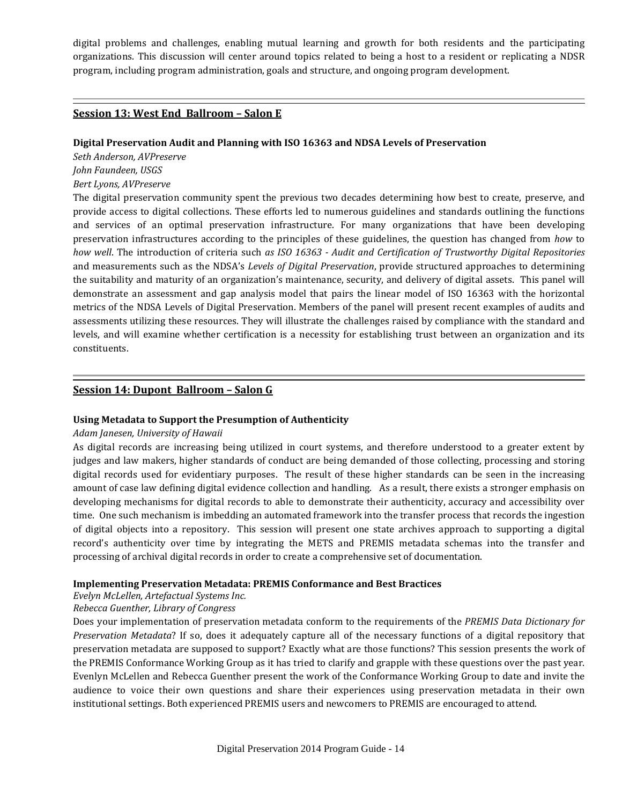digital problems and challenges, enabling mutual learning and growth for both residents and the participating organizations. This discussion will center around topics related to being a host to a resident or replicating a NDSR program, including program administration, goals and structure, and ongoing program development.

#### **Session 13: West End Ballroom – Salon E**

#### **Digital Preservation Audit and Planning with ISO 16363 and NDSA Levels of Preservation**

*Seth Anderson, AVPreserve*

*John Faundeen, USGS*

#### *Bert Lyons, AVPreserve*

The digital preservation community spent the previous two decades determining how best to create, preserve, and provide access to digital collections. These efforts led to numerous guidelines and standards outlining the functions and services of an optimal preservation infrastructure. For many organizations that have been developing preservation infrastructures according to the principles of these guidelines, the question has changed from *how* to *how well*. The introduction of criteria such *as ISO 16363 - Audit and Certification of Trustworthy Digital Repositories* and measurements such as the NDSA's *Levels of Digital Preservation*, provide structured approaches to determining the suitability and maturity of an organization's maintenance, security, and delivery of digital assets. This panel will demonstrate an assessment and gap analysis model that pairs the linear model of ISO 16363 with the horizontal metrics of the NDSA Levels of Digital Preservation. Members of the panel will present recent examples of audits and assessments utilizing these resources. They will illustrate the challenges raised by compliance with the standard and levels, and will examine whether certification is a necessity for establishing trust between an organization and its constituents.

#### **Session 14: Dupont Ballroom – Salon G**

#### **Using Metadata to Support the Presumption of Authenticity**

#### *Adam Janesen, University of Hawaii*

As digital records are increasing being utilized in court systems, and therefore understood to a greater extent by judges and law makers, higher standards of conduct are being demanded of those collecting, processing and storing digital records used for evidentiary purposes. The result of these higher standards can be seen in the increasing amount of case law defining digital evidence collection and handling. As a result, there exists a stronger emphasis on developing mechanisms for digital records to able to demonstrate their authenticity, accuracy and accessibility over time. One such mechanism is imbedding an automated framework into the transfer process that records the ingestion of digital objects into a repository. This session will present one state archives approach to supporting a digital record's authenticity over time by integrating the METS and PREMIS metadata schemas into the transfer and processing of archival digital records in order to create a comprehensive set of documentation.

#### **Implementing Preservation Metadata: PREMIS Conformance and Best Bractices**

*Evelyn McLellen, Artefactual Systems Inc.* 

#### *Rebecca Guenther, Library of Congress*

Does your implementation of preservation metadata conform to the requirements of the *PREMIS Data Dictionary for Preservation Metadata*? If so, does it adequately capture all of the necessary functions of a digital repository that preservation metadata are supposed to support? Exactly what are those functions? This session presents the work of the PREMIS Conformance Working Group as it has tried to clarify and grapple with these questions over the past year. Evenlyn McLellen and Rebecca Guenther present the work of the Conformance Working Group to date and invite the audience to voice their own questions and share their experiences using preservation metadata in their own institutional settings. Both experienced PREMIS users and newcomers to PREMIS are encouraged to attend.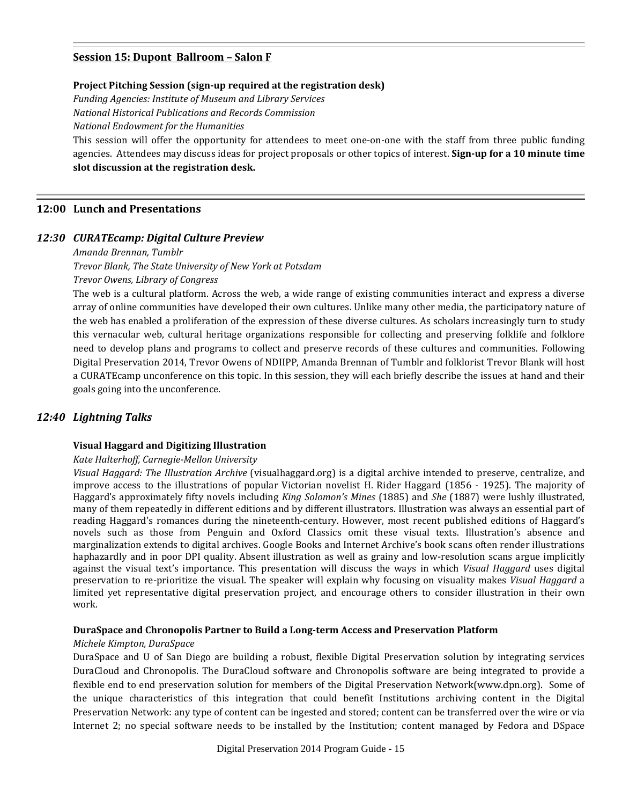#### **Session 15: Dupont Ballroom – Salon F**

#### **Project Pitching Session (sign-up required at the registration desk)**

*Funding Agencies: Institute of Museum and Library Services*

*National Historical Publications and Records Commission*

*National Endowment for the Humanities*

This session will offer the opportunity for attendees to meet one-on-one with the staff from three public funding agencies. Attendees may discuss ideas for project proposals or other topics of interest. **Sign-up for a 10 minute time slot discussion at the registration desk.**

#### **12:00 Lunch and Presentations**

#### *12:30 CURATEcamp: Digital Culture Preview*

#### *Amanda Brennan, Tumblr*

*Trevor Blank, The State University of New York at Potsdam*

*Trevor Owens, Library of Congress*

The web is a cultural platform. Across the web, a wide range of existing communities interact and express a diverse array of online communities have developed their own cultures. Unlike many other media, the participatory nature of the web has enabled a proliferation of the expression of these diverse cultures. As scholars increasingly turn to study this vernacular web, cultural heritage organizations responsible for collecting and preserving folklife and folklore need to develop plans and programs to collect and preserve records of these cultures and communities. Following Digital Preservation 2014, Trevor Owens of NDIIPP, Amanda Brennan of Tumblr and folklorist Trevor Blank will host a CURATEcamp unconference on this topic. In this session, they will each briefly describe the issues at hand and their goals going into the unconference.

## *12:40 Lightning Talks*

#### **Visual Haggard and Digitizing Illustration**

#### *Kate Halterhoff, Carnegie-Mellon University*

*Visual Haggard: The Illustration Archive* (visualhaggard.org) is a digital archive intended to preserve, centralize, and improve access to the illustrations of popular Victorian novelist H. Rider Haggard (1856 - 1925). The majority of Haggard's approximately fifty novels including *King Solomon's Mines* (1885) and *She* (1887) were lushly illustrated, many of them repeatedly in different editions and by different illustrators. Illustration was always an essential part of reading Haggard's romances during the nineteenth-century. However, most recent published editions of Haggard's novels such as those from Penguin and Oxford Classics omit these visual texts. Illustration's absence and marginalization extends to digital archives. Google Books and Internet Archive's book scans often render illustrations haphazardly and in poor DPI quality. Absent illustration as well as grainy and low-resolution scans argue implicitly against the visual text's importance. This presentation will discuss the ways in which *Visual Haggard* uses digital preservation to re-prioritize the visual. The speaker will explain why focusing on visuality makes *Visual Haggard* a limited yet representative digital preservation project, and encourage others to consider illustration in their own work.

#### **DuraSpace and Chronopolis Partner to Build a Long-term Access and Preservation Platform**

#### *Michele Kimpton, DuraSpace*

DuraSpace and U of San Diego are building a robust, flexible Digital Preservation solution by integrating services DuraCloud and Chronopolis. The DuraCloud software and Chronopolis software are being integrated to provide a flexible end to end preservation solution for members of the Digital Preservation Network(www.dpn.org). Some of the unique characteristics of this integration that could benefit Institutions archiving content in the Digital Preservation Network: any type of content can be ingested and stored; content can be transferred over the wire or via Internet 2; no special software needs to be installed by the Institution; content managed by Fedora and DSpace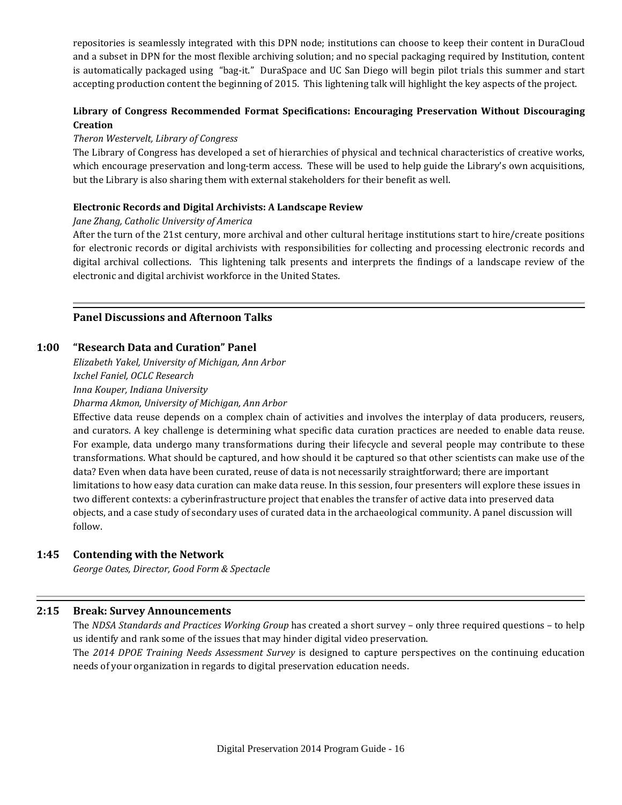repositories is seamlessly integrated with this DPN node; institutions can choose to keep their content in DuraCloud and a subset in DPN for the most flexible archiving solution; and no special packaging required by Institution, content is automatically packaged using "bag-it." DuraSpace and UC San Diego will begin pilot trials this summer and start accepting production content the beginning of 2015. This lightening talk will highlight the key aspects of the project.

## **Library of Congress Recommended Format Specifications: Encouraging Preservation Without Discouraging Creation**

## *Theron Westervelt, Library of Congress*

The Library of Congress has developed a set of hierarchies of physical and technical characteristics of creative works, which encourage preservation and long-term access. These will be used to help guide the Library's own acquisitions, but the Library is also sharing them with external stakeholders for their benefit as well.

#### **Electronic Records and Digital Archivists: A Landscape Review**

#### *Jane Zhang, Catholic University of America*

After the turn of the 21st century, more archival and other cultural heritage institutions start to hire/create positions for electronic records or digital archivists with responsibilities for collecting and processing electronic records and digital archival collections. This lightening talk presents and interprets the findings of a landscape review of the electronic and digital archivist workforce in the United States.

## **Panel Discussions and Afternoon Talks**

## **1:00 "Research Data and Curation" Panel**

*Elizabeth Yakel, University of Michigan, Ann Arbor Ixchel Faniel, OCLC Research Inna Kouper, Indiana University*

*Dharma Akmon, University of Michigan, Ann Arbor*

Effective data reuse depends on a complex chain of activities and involves the interplay of data producers, reusers, and curators. A key challenge is determining what specific data curation practices are needed to enable data reuse. For example, data undergo many transformations during their lifecycle and several people may contribute to these transformations. What should be captured, and how should it be captured so that other scientists can make use of the data? Even when data have been curated, reuse of data is not necessarily straightforward; there are important limitations to how easy data curation can make data reuse. In this session, four presenters will explore these issues in two different contexts: a cyberinfrastructure project that enables the transfer of active data into preserved data objects, and a case study of secondary uses of curated data in the archaeological community. A panel discussion will follow.

#### **1:45 Contending with the Network**

*George Oates, Director, Good Form & Spectacle*

#### **2:15 Break: Survey Announcements**

The *NDSA Standards and Practices Working Group* has created a short survey – only three required questions – to help us identify and rank some of the issues that may hinder digital video preservation. The *2014 DPOE Training Needs Assessment Survey* is designed to capture perspectives on the continuing education needs of your organization in regards to digital preservation education needs.